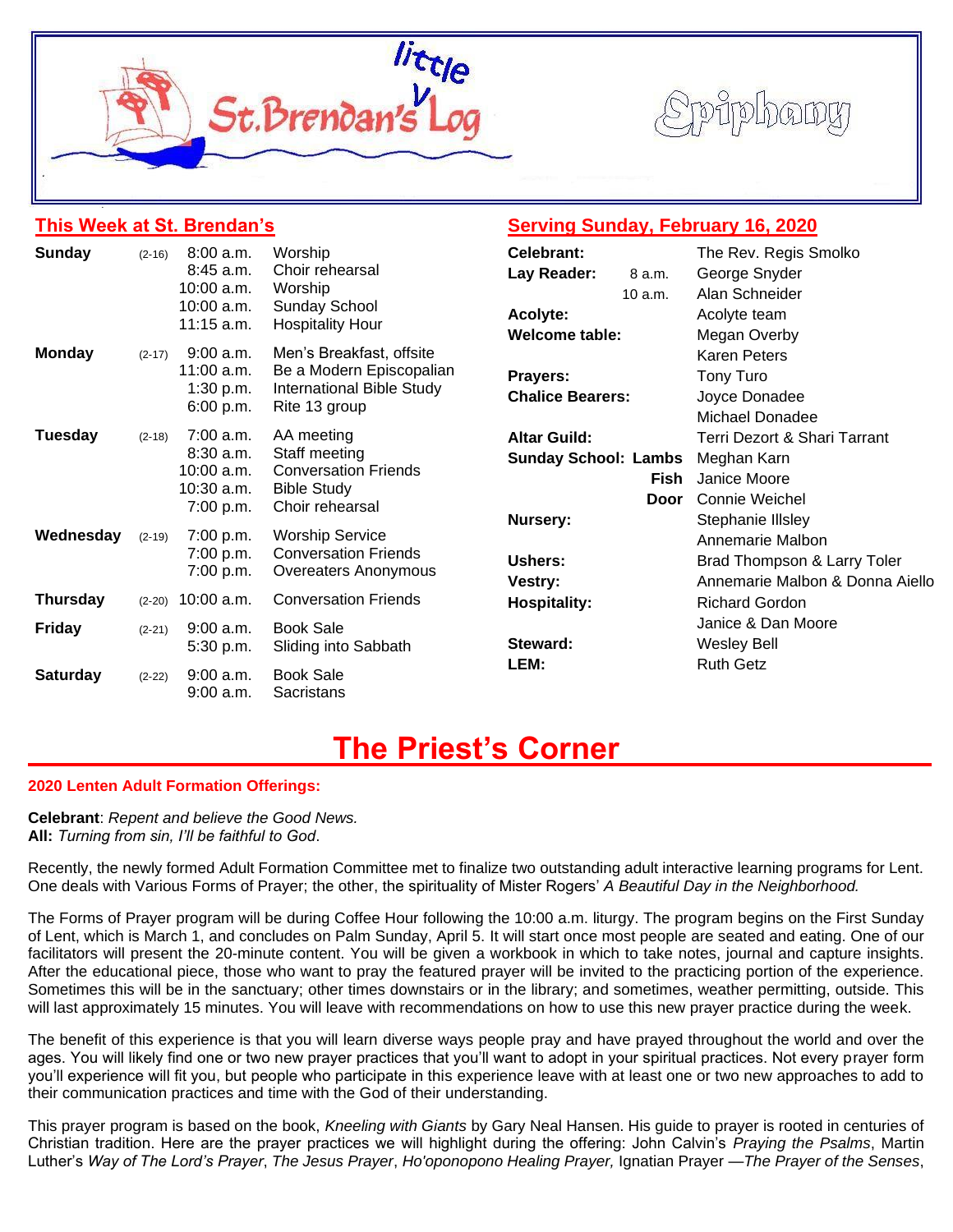

#### **This Week at St. Brendan's**

# **Serving Sunday, February 16, 2020**

| Sunday          | $(2-16)$ | 8:00 a.m.                  | Worship                                         | Celebrant:                  | The Rev. Regis Smolko           |  |  |
|-----------------|----------|----------------------------|-------------------------------------------------|-----------------------------|---------------------------------|--|--|
|                 |          | 8:45 a.m.                  | Choir rehearsal                                 | Lay Reader:<br>8 a.m.       | George Snyder                   |  |  |
|                 |          | $10:00$ a.m.               | Worship                                         | 10a.m.                      | Alan Schneider                  |  |  |
|                 |          | 10:00 a.m.<br>$11:15$ a.m. | <b>Sunday School</b><br><b>Hospitality Hour</b> | Acolyte:                    | Acolyte team                    |  |  |
|                 |          |                            |                                                 | <b>Welcome table:</b>       | Megan Overby                    |  |  |
| <b>Monday</b>   | $(2-17)$ | $9:00$ a.m.                | Men's Breakfast, offsite                        |                             | <b>Karen Peters</b>             |  |  |
|                 |          | $11:00$ a.m.               | Be a Modern Episcopalian                        | Prayers:                    | Tony Turo                       |  |  |
|                 |          | 1:30 p.m.                  | <b>International Bible Study</b>                | <b>Chalice Bearers:</b>     | Joyce Donadee                   |  |  |
|                 |          | 6:00 p.m.                  | Rite 13 group                                   |                             | Michael Donadee                 |  |  |
| <b>Tuesday</b>  | $(2-18)$ | $7:00$ a.m.                | AA meeting                                      | <b>Altar Guild:</b>         | Terri Dezort & Shari Tarrant    |  |  |
|                 |          | 8:30 a.m.                  | Staff meeting<br><b>Conversation Friends</b>    | <b>Sunday School: Lambs</b> | Meghan Karn                     |  |  |
|                 |          | 10:00 a.m.                 |                                                 | Fish                        | Janice Moore                    |  |  |
|                 |          | 10:30 a.m.                 | <b>Bible Study</b>                              | Door                        | Connie Weichel                  |  |  |
|                 |          | 7:00 p.m.                  | Choir rehearsal                                 | Nursery:                    | Stephanie Illsley               |  |  |
| Wednesday       | $(2-19)$ | 7:00 p.m.                  | <b>Worship Service</b>                          |                             | Annemarie Malbon                |  |  |
|                 |          | 7:00 p.m.                  | <b>Conversation Friends</b>                     | <b>Ushers:</b>              | Brad Thompson & Larry Toler     |  |  |
|                 |          | 7:00 p.m.                  | Overeaters Anonymous                            | <b>Vestry:</b>              | Annemarie Malbon & Donna Aiello |  |  |
| <b>Thursday</b> | $(2-20)$ | $10:00$ a.m.               | <b>Conversation Friends</b>                     | <b>Hospitality:</b>         | <b>Richard Gordon</b>           |  |  |
| <b>Friday</b>   |          | $9:00$ a.m.                | <b>Book Sale</b>                                |                             | Janice & Dan Moore              |  |  |
|                 | $(2-21)$ | 5:30 p.m.                  | Sliding into Sabbath                            | Steward:                    | <b>Wesley Bell</b>              |  |  |
| <b>Saturday</b> | $(2-22)$ | $9:00$ a.m.<br>$9:00$ a.m. | <b>Book Sale</b>                                | LEM:                        | <b>Ruth Getz</b>                |  |  |
|                 |          |                            |                                                 |                             |                                 |  |  |
|                 |          |                            | Sacristans                                      |                             |                                 |  |  |

# **The Priest's Corner**

#### **2020 Lenten Adult Formation Offerings:**

**Celebrant**: *Repent and believe the Good News.* **All:** *Turning from sin, I'll be faithful to God*.

Recently, the newly formed Adult Formation Committee met to finalize two outstanding adult interactive learning programs for Lent. One deals with Various Forms of Prayer; the other, the spirituality of Mister Rogers' *A Beautiful Day in the Neighborhood.*

The Forms of Prayer program will be during Coffee Hour following the 10:00 a.m. liturgy. The program begins on the First Sunday of Lent, which is March 1, and concludes on Palm Sunday, April 5. It will start once most people are seated and eating. One of our facilitators will present the 20-minute content. You will be given a workbook in which to take notes, journal and capture insights. After the educational piece, those who want to pray the featured prayer will be invited to the practicing portion of the experience. Sometimes this will be in the sanctuary; other times downstairs or in the library; and sometimes, weather permitting, outside. This will last approximately 15 minutes. You will leave with recommendations on how to use this new prayer practice during the week.

The benefit of this experience is that you will learn diverse ways people pray and have prayed throughout the world and over the ages. You will likely find one or two new prayer practices that you'll want to adopt in your spiritual practices. Not every prayer form you'll experience will fit you, but people who participate in this experience leave with at least one or two new approaches to add to their communication practices and time with the God of their understanding.

This prayer program is based on the book, *Kneeling with Giants* by Gary Neal Hansen. His guide to prayer is rooted in centuries of Christian tradition. Here are the prayer practices we will highlight during the offering: John Calvin's *Praying the Psalms*, Martin Luther's *Way of The Lord's Prayer*, *The Jesus Prayer*, *Ho'oponopono Healing Prayer,* Ignatian Prayer —*The Prayer of the Senses*,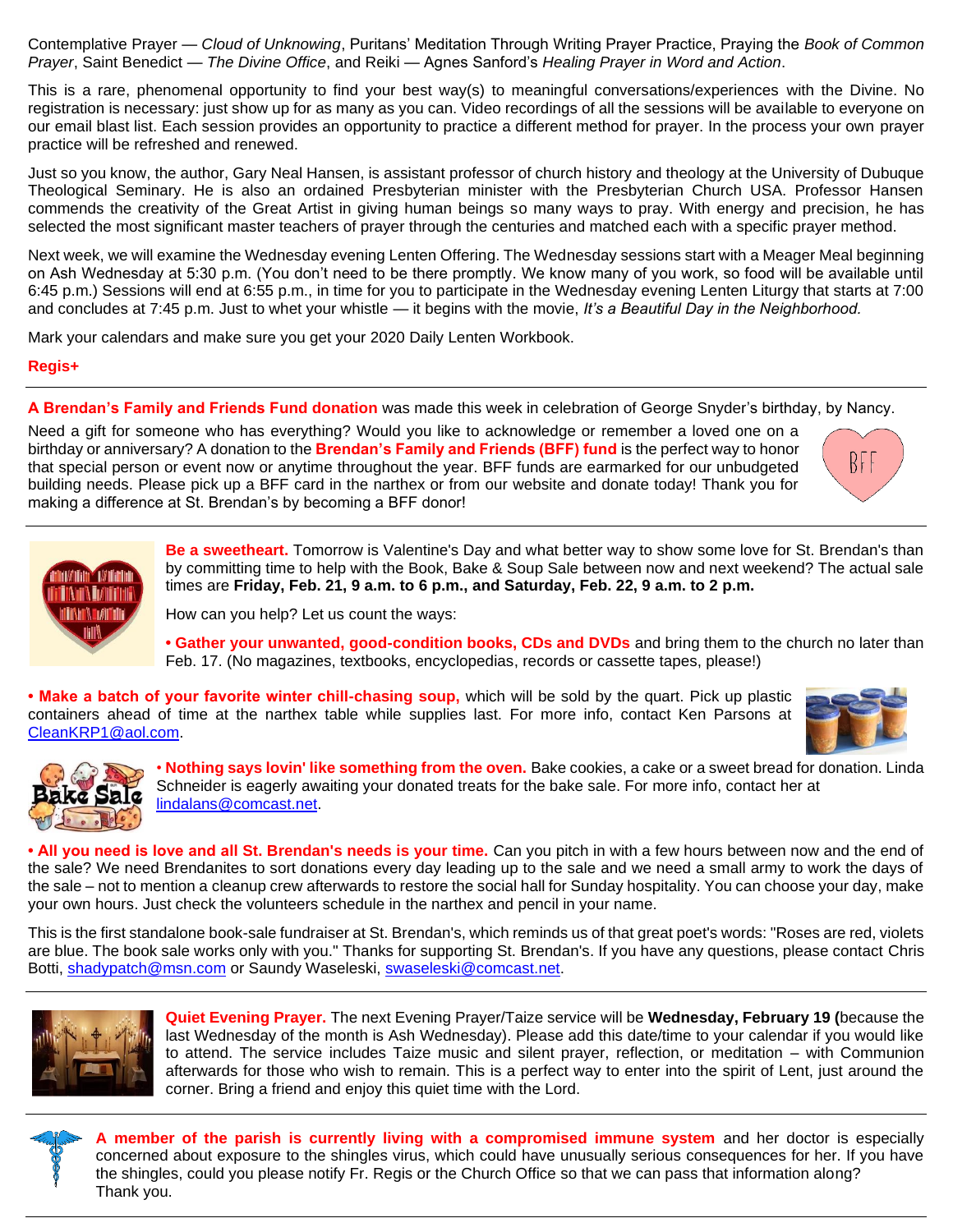Contemplative Prayer — *Cloud of Unknowing*, Puritans' Meditation Through Writing Prayer Practice, Praying the *Book of Common Prayer*, Saint Benedict — *The Divine Office*, and Reiki — Agnes Sanford's *Healing Prayer in Word and Action*.

This is a rare, phenomenal opportunity to find your best way(s) to meaningful conversations/experiences with the Divine. No registration is necessary: just show up for as many as you can. Video recordings of all the sessions will be available to everyone on our email blast list. Each session provides an opportunity to practice a different method for prayer. In the process your own prayer practice will be refreshed and renewed.

Just so you know, the author, Gary Neal Hansen, is assistant professor of church history and theology at the University of Dubuque Theological Seminary. He is also an ordained Presbyterian minister with the Presbyterian Church USA. Professor Hansen commends the creativity of the Great Artist in giving human beings so many ways to pray. With energy and precision, he has selected the most significant master teachers of prayer through the centuries and matched each with a specific prayer method.

Next week, we will examine the Wednesday evening Lenten Offering. The Wednesday sessions start with a Meager Meal beginning on Ash Wednesday at 5:30 p.m. (You don't need to be there promptly. We know many of you work, so food will be available until 6:45 p.m.) Sessions will end at 6:55 p.m., in time for you to participate in the Wednesday evening Lenten Liturgy that starts at 7:00 and concludes at 7:45 p.m. Just to whet your whistle — it begins with the movie, *It's a Beautiful Day in the Neighborhood.*

Mark your calendars and make sure you get your 2020 Daily Lenten Workbook.

**Regis+**

**A Brendan's Family and Friends Fund donation** was made this week in celebration of George Snyder's birthday, by Nancy.

Need a gift for someone who has everything? Would you like to acknowledge or remember a loved one on a birthday or anniversary? A donation to the **Brendan's Family and Friends (BFF) fund** is the perfect way to honor that special person or event now or anytime throughout the year. BFF funds are earmarked for our unbudgeted building needs. Please pick up a BFF card in the narthex or from our website and donate today! Thank you for making a difference at St. Brendan's by becoming a BFF donor!





**Be a sweetheart.** Tomorrow is Valentine's Day and what better way to show some love for St. Brendan's than by committing time to help with the Book, Bake & Soup Sale between now and next weekend? The actual sale times are **Friday, Feb. 21, 9 a.m. to 6 p.m., and Saturday, Feb. 22, 9 a.m. to 2 p.m.**

How can you help? Let us count the ways:

**• Gather your unwanted, good-condition books, CDs and DVDs** and bring them to the church no later than Feb. 17. (No magazines, textbooks, encyclopedias, records or cassette tapes, please!)

**• Make a batch of your favorite winter chill-chasing soup,** which will be sold by the quart. Pick up plastic containers ahead of time at the narthex table while supplies last. For more info, contact Ken Parsons at [CleanKRP1@aol.com.](mailto:CleanKRP1@aol.com)





• **Nothing says lovin' like something from the oven.** Bake cookies, a cake or a sweet bread for donation. Linda Schneider is eagerly awaiting your donated treats for the bake sale. For more info, contact her at [lindalans@comcast.net.](mailto:lindalans@comcast.net)

**• All you need is love and all St. Brendan's needs is your time.** Can you pitch in with a few hours between now and the end of the sale? We need Brendanites to sort donations every day leading up to the sale and we need a small army to work the days of the sale – not to mention a cleanup crew afterwards to restore the social hall for Sunday hospitality. You can choose your day, make your own hours. Just check the volunteers schedule in the narthex and pencil in your name.

This is the first standalone book-sale fundraiser at St. Brendan's, which reminds us of that great poet's words: "Roses are red, violets are blue. The book sale works only with you." Thanks for supporting St. Brendan's. If you have any questions, please contact Chris Botti, [shadypatch@msn.com](mailto:shadypatch@msn.com) or Saundy Waseleski, [swaseleski@comcast.net.](mailto:swaseleski@comcast.net)



**Quiet Evening Prayer.** The next Evening Prayer/Taize service will be **Wednesday, February 19 (**because the last Wednesday of the month is Ash Wednesday). Please add this date/time to your calendar if you would like to attend. The service includes Taize music and silent prayer, reflection, or meditation – with Communion afterwards for those who wish to remain. This is a perfect way to enter into the spirit of Lent, just around the corner. Bring a friend and enjoy this quiet time with the Lord.

**A member of the parish is currently living with a compromised immune system** and her doctor is especially concerned about exposure to the shingles virus, which could have unusually serious consequences for her. If you have the shingles, could you please notify Fr. Regis or the Church Office so that we can pass that information along? Thank you.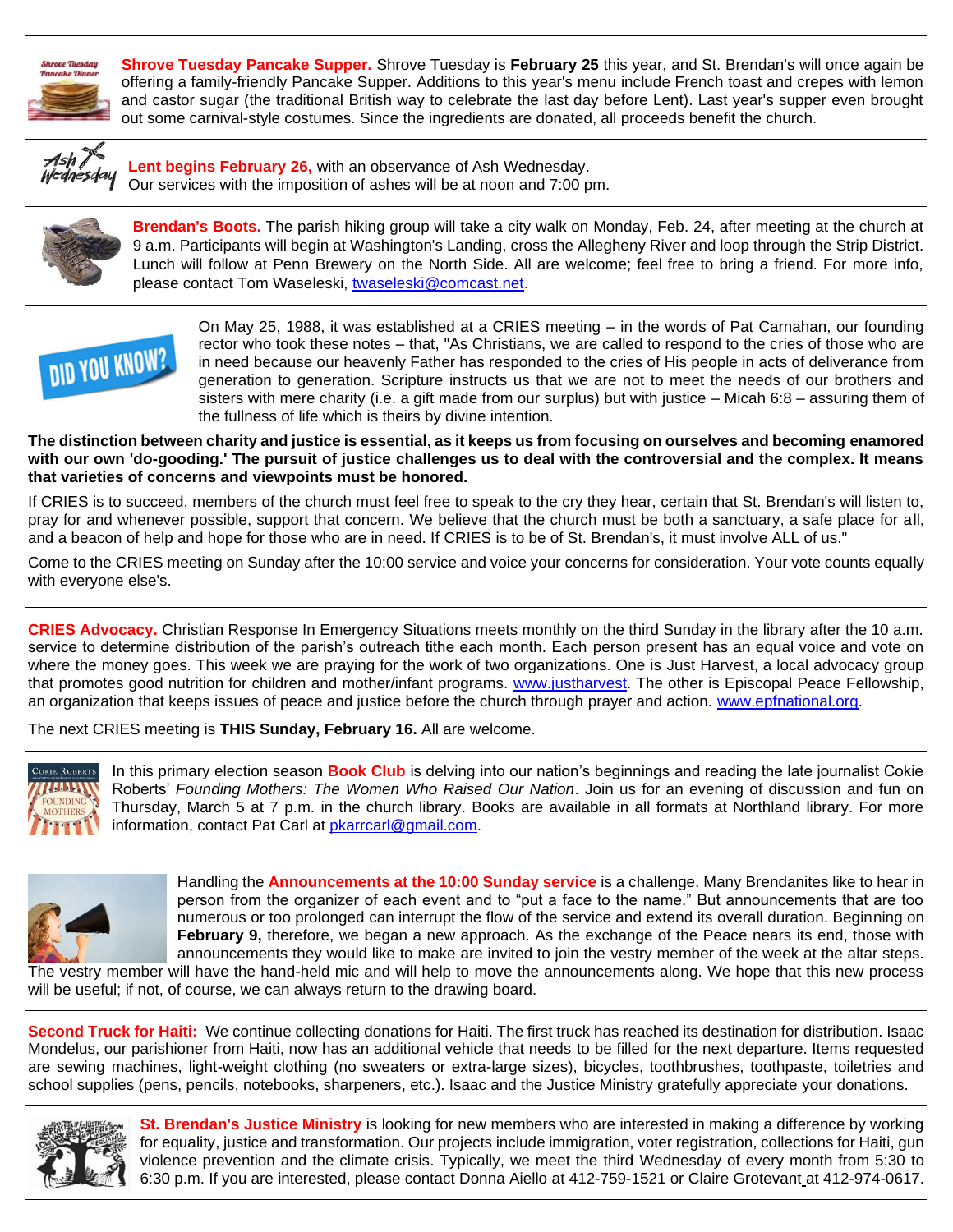

**Shrove Tuesday Pancake Supper.** Shrove Tuesday is **February 25** this year, and St. Brendan's will once again be offering a family-friendly Pancake Supper. Additions to this year's menu include French toast and crepes with lemon and castor sugar (the traditional British way to celebrate the last day before Lent). Last year's supper even brought out some carnival-style costumes. Since the ingredients are donated, all proceeds benefit the church.



**Lent begins February 26,** with an observance of Ash Wednesday. Our services with the imposition of ashes will be at noon and 7:00 pm.



**Brendan's Boots.** The parish hiking group will take a city walk on Monday, Feb. 24, after meeting at the church at 9 a.m. Participants will begin at Washington's Landing, cross the Allegheny River and loop through the Strip District. Lunch will follow at Penn Brewery on the North Side. All are welcome; feel free to bring a friend. For more info, please contact Tom Waseleski, [twaseleski@comcast.net.](mailto:twaseleski@comcast.net)



On May 25, 1988, it was established at a CRIES meeting – in the words of Pat Carnahan, our founding rector who took these notes – that, "As Christians, we are called to respond to the cries of those who are in need because our heavenly Father has responded to the cries of His people in acts of deliverance from generation to generation. Scripture instructs us that we are not to meet the needs of our brothers and sisters with mere charity (i.e. a gift made from our surplus) but with justice – Micah 6:8 – assuring them of the fullness of life which is theirs by divine intention.

**The distinction between charity and justice is essential, as it keeps us from focusing on ourselves and becoming enamored with our own 'do-gooding.' The pursuit of justice challenges us to deal with the controversial and the complex. It means that varieties of concerns and viewpoints must be honored.**

If CRIES is to succeed, members of the church must feel free to speak to the cry they hear, certain that St. Brendan's will listen to, pray for and whenever possible, support that concern. We believe that the church must be both a sanctuary, a safe place for all, and a beacon of help and hope for those who are in need. If CRIES is to be of St. Brendan's, it must involve ALL of us."

Come to the CRIES meeting on Sunday after the 10:00 service and voice your concerns for consideration. Your vote counts equally with everyone else's.

**CRIES Advocacy.** Christian Response In Emergency Situations meets monthly on the third Sunday in the library after the 10 a.m. service to determine distribution of the parish's outreach tithe each month. Each person present has an equal voice and vote on where the money goes. This week we are praying for the work of two organizations. One is Just Harvest, a local advocacy group that promotes good nutrition for children and mother/infant programs. [www.justharvest.](http://www.justharvest/) The other is Episcopal Peace Fellowship, an organization that keeps issues of peace and justice before the church through prayer and action. [www.epfnational.org.](http://www.epfnational.org/)

The next CRIES meeting is **THIS Sunday, February 16.** All are welcome.



In this primary election season **Book Club** is delving into our nation's beginnings and reading the late journalist Cokie Roberts' *Founding Mothers: The Women Who Raised Our Nation*. Join us for an evening of discussion and fun on Thursday, March 5 at 7 p.m. in the church library. Books are available in all formats at Northland library. For more information, contact Pat Carl at [pkarrcarl@gmail.com.](mailto:pkarrcarl@gmail.com)



Handling the **Announcements at the 10:00 Sunday service** is a challenge. Many Brendanites like to hear in person from the organizer of each event and to "put a face to the name." But announcements that are too numerous or too prolonged can interrupt the flow of the service and extend its overall duration. Beginning on **February 9,** therefore, we began a new approach. As the exchange of the Peace nears its end, those with announcements they would like to make are invited to join the vestry member of the week at the altar steps.

The vestry member will have the hand-held mic and will help to move the announcements along. We hope that this new process will be useful; if not, of course, we can always return to the drawing board.

**Second Truck for Haiti:** We continue collecting donations for Haiti. The first truck has reached its destination for distribution. Isaac Mondelus, our parishioner from Haiti, now has an additional vehicle that needs to be filled for the next departure. Items requested are sewing machines, light-weight clothing (no sweaters or extra-large sizes), bicycles, toothbrushes, toothpaste, toiletries and school supplies (pens, pencils, notebooks, sharpeners, etc.). Isaac and the Justice Ministry gratefully appreciate your donations.



**St. Brendan's Justice Ministry** is looking for new members who are interested in making a difference by working for equality, justice and transformation. Our projects include immigration, voter registration, collections for Haiti, gun violence prevention and the climate crisis. Typically, we meet the third Wednesday of every month from 5:30 to 6:30 p.m. If you are interested, please contact Donna Aiello at 412-759-1521 or Claire Grotevant at 412-974-0617.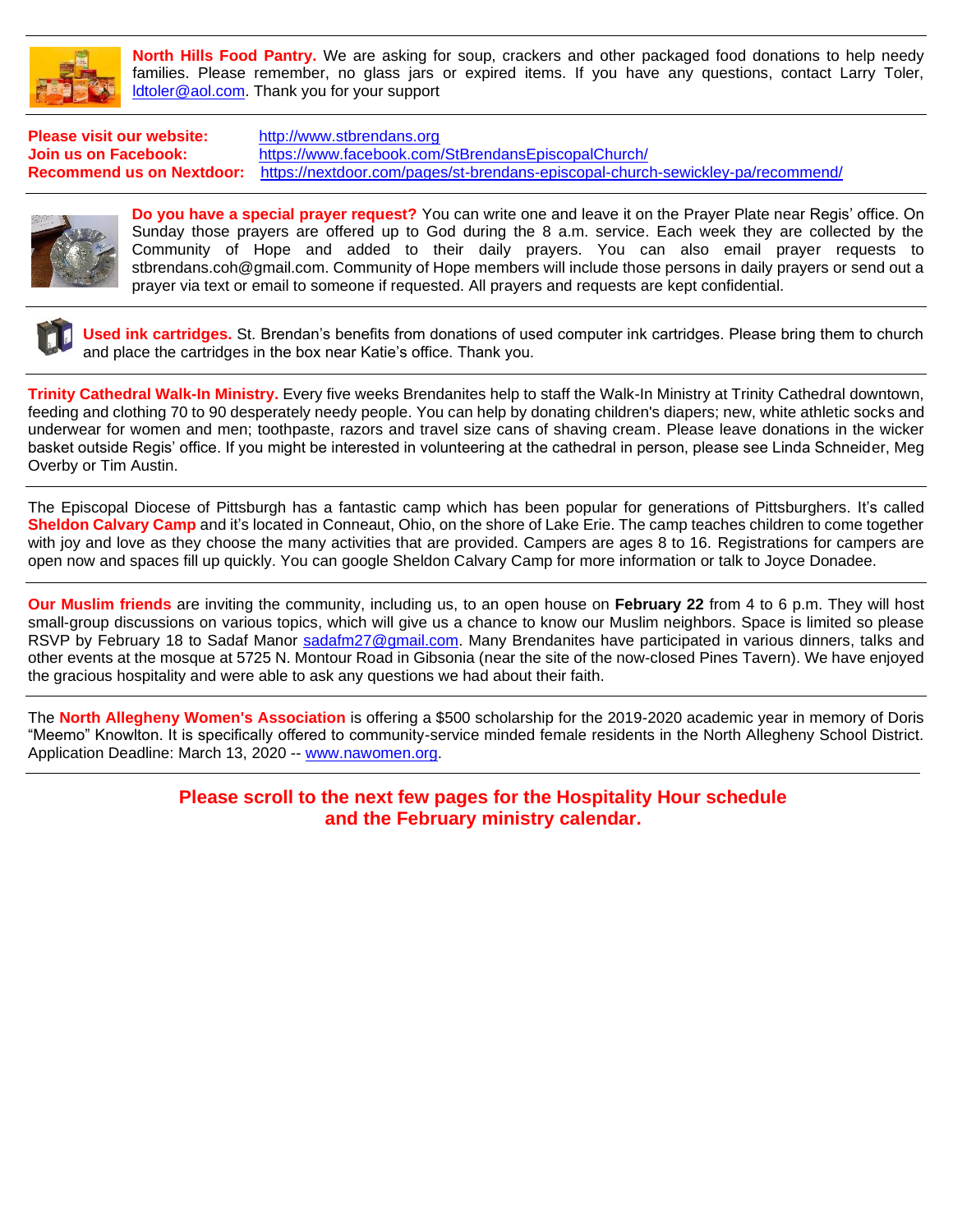

**North Hills Food Pantry.** We are asking for soup, crackers and other packaged food donations to help needy families. Please remember, no glass jars or expired items. If you have any questions, contact Larry Toler, [ldtoler@aol.com.](mailto:ldtoler@aol.com) Thank you for your support

**Please visit our website:** [http://www.stbrendans.org](http://www.stbrendans.org/) **Join us on Facebook:** <https://www.facebook.com/StBrendansEpiscopalChurch/> **Recommend us on Nextdoor:** <https://nextdoor.com/pages/st-brendans-episcopal-church-sewickley-pa/recommend/>



**Do you have a special prayer request?** You can write one and leave it on the Prayer Plate near Regis' office. On Sunday those prayers are offered up to God during the 8 a.m. service. Each week they are collected by the Community of Hope and added to their daily prayers. You can also email prayer requests to stbrendans.coh@gmail.com. Community of Hope members will include those persons in daily prayers or send out a prayer via text or email to someone if requested. All prayers and requests are kept confidential.



**Used ink cartridges.** St. Brendan's benefits from donations of used computer ink cartridges. Please bring them to church and place the cartridges in the box near Katie's office. Thank you.

**Trinity Cathedral Walk-In Ministry.** Every five weeks Brendanites help to staff the Walk-In Ministry at Trinity Cathedral downtown, feeding and clothing 70 to 90 desperately needy people. You can help by donating children's diapers; new, white athletic socks and underwear for women and men; toothpaste, razors and travel size cans of shaving cream. Please leave donations in the wicker basket outside Regis' office. If you might be interested in volunteering at the cathedral in person, please see Linda Schneider, Meg Overby or Tim Austin.

The Episcopal Diocese of Pittsburgh has a fantastic camp which has been popular for generations of Pittsburghers. It's called **Sheldon Calvary Camp** and it's located in Conneaut, Ohio, on the shore of Lake Erie. The camp teaches children to come together with joy and love as they choose the many activities that are provided. Campers are ages 8 to 16. Registrations for campers are open now and spaces fill up quickly. You can google Sheldon Calvary Camp for more information or talk to Joyce Donadee.

**Our Muslim friends** are inviting the community, including us, to an open house on **February 22** from 4 to 6 p.m. They will host small-group discussions on various topics, which will give us a chance to know our Muslim neighbors. Space is limited so please RSVP by February 18 to Sadaf Manor [sadafm27@gmail.com.](mailto:sadafm27@gmail.com) Many Brendanites have participated in various dinners, talks and other events at the mosque at 5725 N. Montour Road in Gibsonia (near the site of the now-closed Pines Tavern). We have enjoyed the gracious hospitality and were able to ask any questions we had about their faith.

The **North Allegheny Women's Association** is offering a \$500 scholarship for the 2019-2020 academic year in memory of Doris "Meemo" Knowlton. It is specifically offered to community-service minded female residents in the North Allegheny School District. Application Deadline: March 13, 2020 -- [www.nawomen.org.](http://www.nawomen.org/)

#### **Please scroll to the next few pages for the Hospitality Hour schedule and the February ministry calendar.**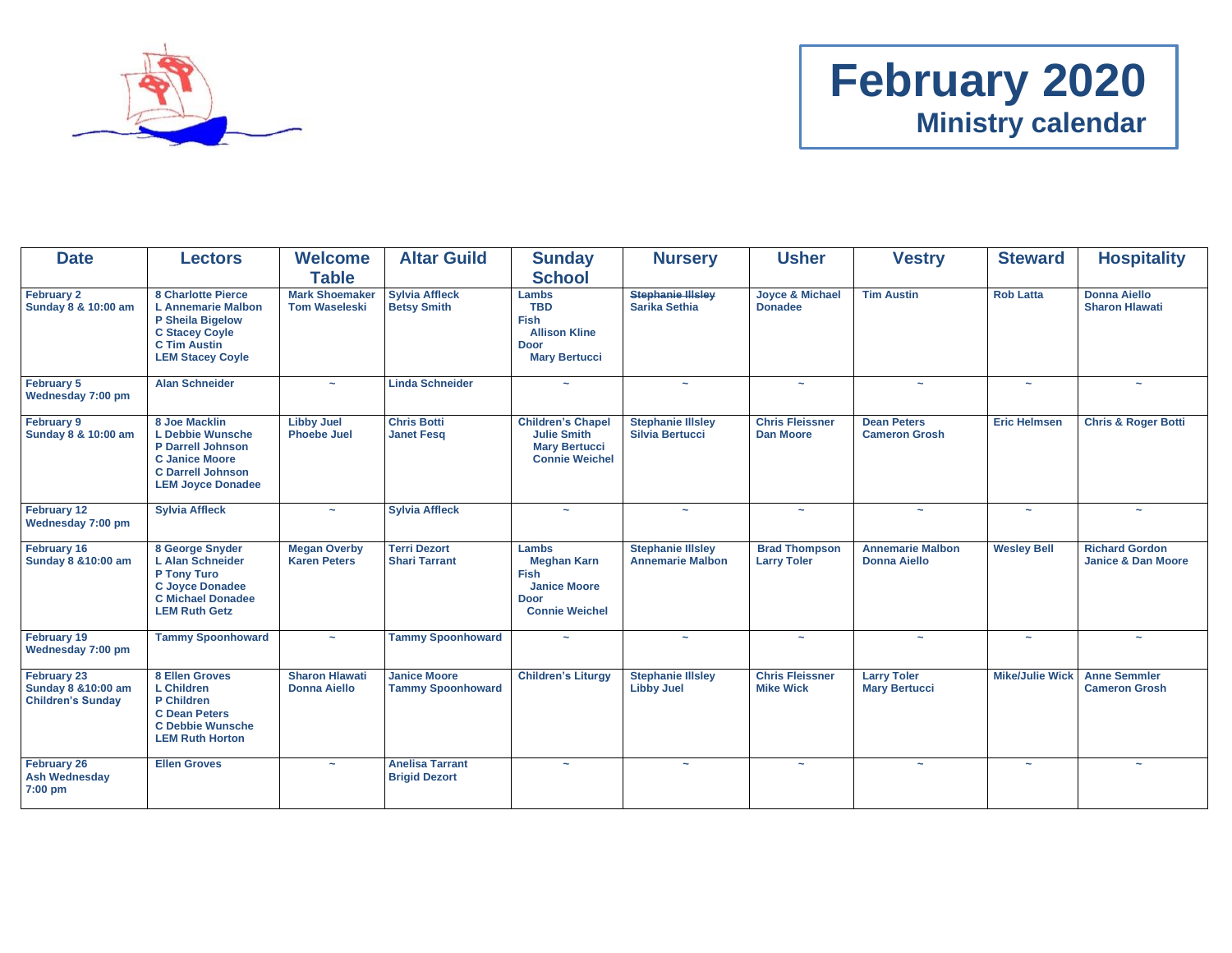

# **February 2020 Ministry calendar**

| <b>Date</b>                                                    | <b>Lectors</b>                                                                                                                                        | <b>Welcome</b><br><b>Table</b>                | <b>Altar Guild</b>                              | <b>Sunday</b><br><b>School</b>                                                                            | <b>Nursery</b>                                      | <b>Usher</b>                                 | <b>Vestry</b>                                  | <b>Steward</b>         | <b>Hospitality</b>                                     |
|----------------------------------------------------------------|-------------------------------------------------------------------------------------------------------------------------------------------------------|-----------------------------------------------|-------------------------------------------------|-----------------------------------------------------------------------------------------------------------|-----------------------------------------------------|----------------------------------------------|------------------------------------------------|------------------------|--------------------------------------------------------|
| February 2<br>Sunday 8 & 10:00 am                              | 8 Charlotte Pierce<br><b>L</b> Annemarie Malbon<br><b>P Sheila Bigelow</b><br><b>C Stacey Coyle</b><br><b>C Tim Austin</b><br><b>LEM Stacey Coyle</b> | <b>Mark Shoemaker</b><br><b>Tom Waseleski</b> | <b>Sylvia Affleck</b><br><b>Betsy Smith</b>     | Lambs<br><b>TBD</b><br><b>Fish</b><br><b>Allison Kline</b><br><b>Door</b><br><b>Mary Bertucci</b>         | <b>Stephanie Illsley</b><br>Sarika Sethia           | <b>Joyce &amp; Michael</b><br><b>Donadee</b> | <b>Tim Austin</b>                              | <b>Rob Latta</b>       | <b>Donna Aiello</b><br><b>Sharon Hlawati</b>           |
| February 5<br>Wednesday 7:00 pm                                | <b>Alan Schneider</b>                                                                                                                                 |                                               | <b>Linda Schneider</b>                          |                                                                                                           | $\tilde{\phantom{a}}$                               | $\tilde{\phantom{a}}$                        | $\tilde{\phantom{a}}$                          |                        |                                                        |
| <b>February 9</b><br>Sunday 8 & 10:00 am                       | 8 Joe Macklin<br><b>L</b> Debbie Wunsche<br><b>P Darrell Johnson</b><br><b>C Janice Moore</b><br><b>C Darrell Johnson</b><br><b>LEM Joyce Donadee</b> | <b>Libby Juel</b><br><b>Phoebe Juel</b>       | <b>Chris Botti</b><br><b>Janet Fesq</b>         | <b>Children's Chapel</b><br><b>Julie Smith</b><br><b>Mary Bertucci</b><br><b>Connie Weichel</b>           | <b>Stephanie Illsley</b><br><b>Silvia Bertucci</b>  | <b>Chris Fleissner</b><br><b>Dan Moore</b>   | <b>Dean Peters</b><br><b>Cameron Grosh</b>     | <b>Eric Helmsen</b>    | <b>Chris &amp; Roger Botti</b>                         |
| February 12<br>Wednesday 7:00 pm                               | <b>Sylvia Affleck</b>                                                                                                                                 |                                               | <b>Sylvia Affleck</b>                           | $\tilde{\phantom{a}}$                                                                                     | $\sim$                                              | $\tilde{\phantom{a}}$                        | $\tilde{\phantom{a}}$                          | $\sim$                 |                                                        |
| February 16<br>Sunday 8 & 10:00 am                             | 8 George Snyder<br>L Alan Schneider<br>P Tony Turo<br><b>C Joyce Donadee</b><br><b>C Michael Donadee</b><br><b>LEM Ruth Getz</b>                      | <b>Megan Overby</b><br><b>Karen Peters</b>    | <b>Terri Dezort</b><br><b>Shari Tarrant</b>     | Lambs<br><b>Meghan Karn</b><br><b>Fish</b><br><b>Janice Moore</b><br><b>Door</b><br><b>Connie Weichel</b> | <b>Stephanie Illsley</b><br><b>Annemarie Malbon</b> | <b>Brad Thompson</b><br><b>Larry Toler</b>   | <b>Annemarie Malbon</b><br><b>Donna Aiello</b> | <b>Wesley Bell</b>     | <b>Richard Gordon</b><br><b>Janice &amp; Dan Moore</b> |
| February 19<br>Wednesday 7:00 pm                               | <b>Tammy Spoonhoward</b>                                                                                                                              | $\sim$                                        | <b>Tammy Spoonhoward</b>                        |                                                                                                           | $\sim$                                              | $\sim$                                       | $\sim$                                         | $\tilde{\phantom{a}}$  | $\tilde{\phantom{a}}$                                  |
| February 23<br>Sunday 8 & 10:00 am<br><b>Children's Sunday</b> | <b>8 Ellen Groves</b><br><b>L</b> Children<br>P Children<br><b>C</b> Dean Peters<br><b>C Debbie Wunsche</b><br><b>LEM Ruth Horton</b>                 | <b>Sharon Hlawati</b><br><b>Donna Aiello</b>  | <b>Janice Moore</b><br><b>Tammy Spoonhoward</b> | <b>Children's Liturgy</b>                                                                                 | <b>Stephanie Illsley</b><br><b>Libby Juel</b>       | <b>Chris Fleissner</b><br><b>Mike Wick</b>   | <b>Larry Toler</b><br><b>Mary Bertucci</b>     | <b>Mike/Julie Wick</b> | <b>Anne Semmler</b><br><b>Cameron Grosh</b>            |
| <b>February 26</b><br><b>Ash Wednesday</b><br>7:00 pm          | <b>Ellen Groves</b>                                                                                                                                   |                                               | <b>Anelisa Tarrant</b><br><b>Brigid Dezort</b>  |                                                                                                           |                                                     |                                              | $\sim$                                         |                        |                                                        |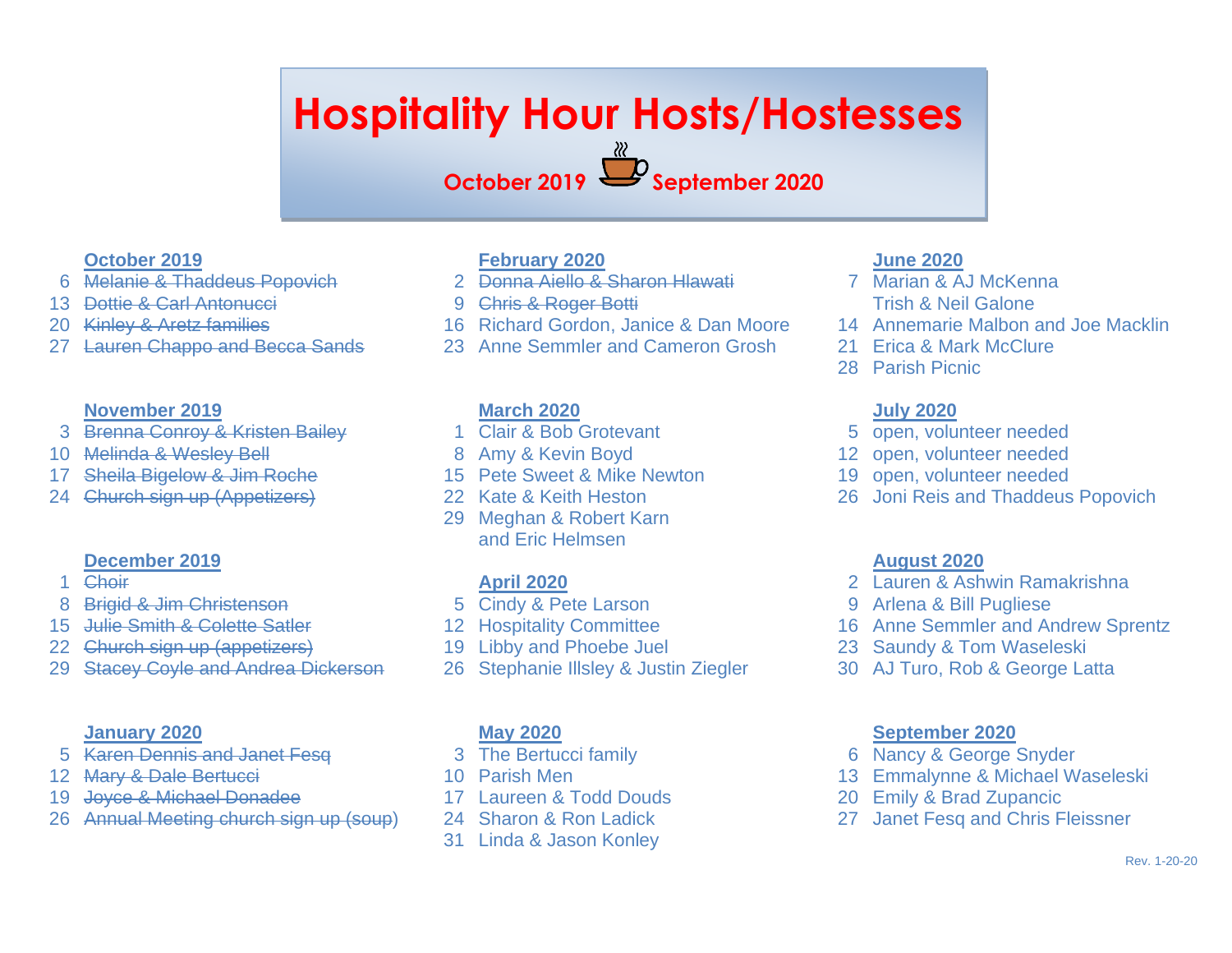# **Hospitality Hour Hosts/Hostesses**

**October 2019 September 2020**

#### **October 2019**

- Melanie & Thaddeus Popovich
- Dottie & Carl Antonucci
- Kinley & Aretz families
- Lauren Chappo and Becca Sands

#### **November 2019**

- Brenna Conroy & Kristen Bailey
- Melinda & Wesley Bell
- Sheila Bigelow & Jim Roche
- Church sign up (Appetizers)

#### **December 2019**

- Choir
- Brigid & Jim Christenson
- Julie Smith & Colette Satler
- Church sign up (appetizers)
- Stacey Coyle and Andrea Dickerson

#### **January 2020**

- Karen Dennis and Janet Fesq
- 12 Mary & Dale Bertucci
- Joyce & Michael Donadee
- Annual Meeting church sign up (soup)

### **February 2020**

- Donna Aiello & Sharon Hlawati
- Chris & Roger Botti
- Richard Gordon, Janice & Dan Moore
- Anne Semmler and Cameron Grosh

### **March 2020**

- Clair & Bob Grotevant
- Amy & Kevin Boyd
- Pete Sweet & Mike Newton
- Kate & Keith Heston
- Meghan & Robert Karn and Eric Helmsen

#### **April 2020**

- Cindy & Pete Larson
- Hospitality Committee
- Libby and Phoebe Juel
- Stephanie Illsley & Justin Ziegler

#### **May 2020**

- The Bertucci family
- Parish Men
- Laureen & Todd Douds
- Sharon & Ron Ladick
- Linda & Jason Konley

# **June 2020**

- Marian & AJ McKenna Trish & Neil Galone
- Annemarie Malbon and Joe Macklin
- Erica & Mark McClure
- Parish Picnic

# **July 2020**

- open, volunteer needed
- open, volunteer needed
- open, volunteer needed
- Joni Reis and Thaddeus Popovich

#### **August 2020**

- Lauren & Ashwin Ramakrishna
- Arlena & Bill Pugliese
- Anne Semmler and Andrew Sprentz
- Saundy & Tom Waseleski
- AJ Turo, Rob & George Latta

#### **September 2020**

- Nancy & George Snyder
- Emmalynne & Michael Waseleski
- Emily & Brad Zupancic
- Janet Fesq and Chris Fleissner